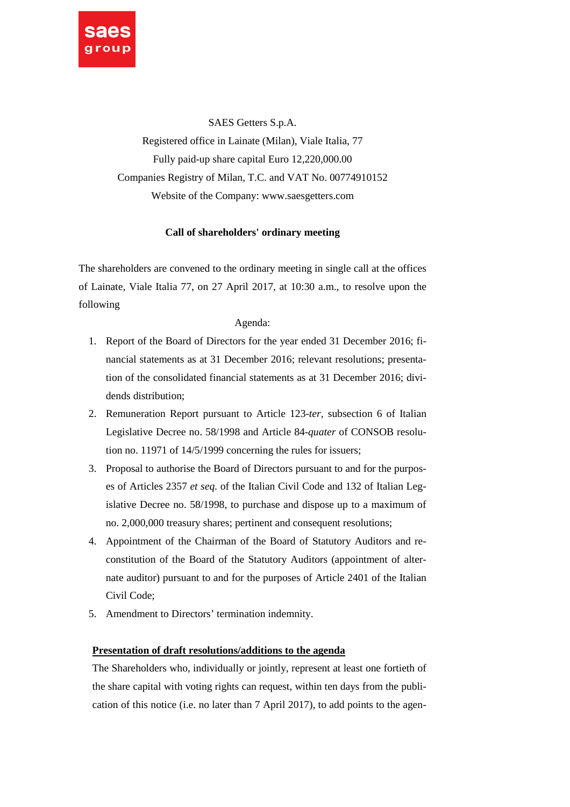

SAES Getters S.p.A. Registered office in Lainate (Milan), Viale Italia, 77 Fully paid-up share capital Euro 12,220,000.00 Companies Registry of Milan, T.C. and VAT No. 00774910152 Website of the Company: www.saesgetters.com

# **Call of shareholders' ordinary meeting**

The shareholders are convened to the ordinary meeting in single call at the offices of Lainate, Viale Italia 77, on 27 April 2017, at 10:30 a.m., to resolve upon the following

## Agenda:

- 1. Report of the Board of Directors for the year ended 31 December 2016; financial statements as at 31 December 2016; relevant resolutions; presentation of the consolidated financial statements as at 31 December 2016; dividends distribution;
- 2. Remuneration Report pursuant to Article 123-*ter,* subsection 6 of Italian Legislative Decree no. 58/1998 and Article 84-*quater* of CONSOB resolution no. 11971 of 14/5/1999 concerning the rules for issuers;
- 3. Proposal to authorise the Board of Directors pursuant to and for the purposes of Articles 2357 *et seq.* of the Italian Civil Code and 132 of Italian Legislative Decree no. 58/1998, to purchase and dispose up to a maximum of no. 2,000,000 treasury shares; pertinent and consequent resolutions;
- 4. Appointment of the Chairman of the Board of Statutory Auditors and reconstitution of the Board of the Statutory Auditors (appointment of alternate auditor) pursuant to and for the purposes of Article 2401 of the Italian Civil Code;
- 5. Amendment to Directors' termination indemnity.

## **Presentation of draft resolutions/additions to the agenda**

The Shareholders who, individually or jointly, represent at least one fortieth of the share capital with voting rights can request, within ten days from the publication of this notice (i.e. no later than 7 April 2017), to add points to the agen-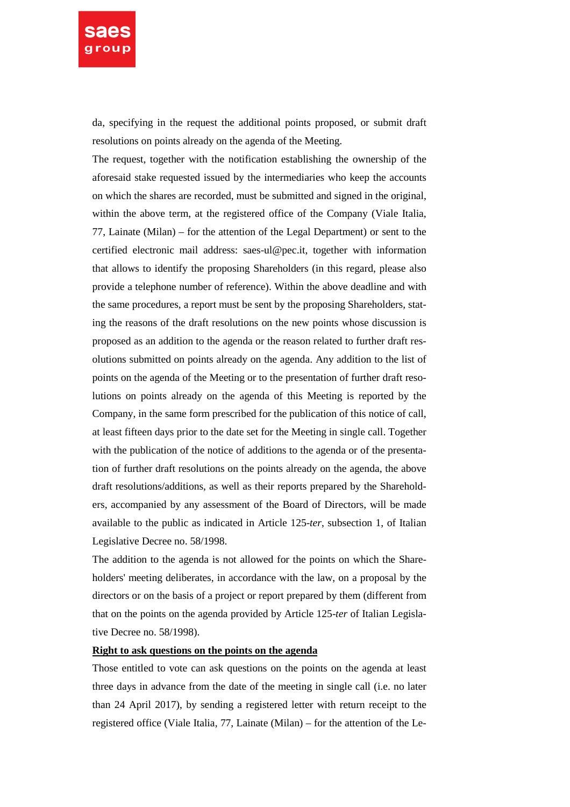

da, specifying in the request the additional points proposed, or submit draft resolutions on points already on the agenda of the Meeting.

The request, together with the notification establishing the ownership of the aforesaid stake requested issued by the intermediaries who keep the accounts on which the shares are recorded, must be submitted and signed in the original, within the above term, at the registered office of the Company (Viale Italia, 77, Lainate (Milan) – for the attention of the Legal Department) or sent to the certified electronic mail address: saes-ul@pec.it, together with information that allows to identify the proposing Shareholders (in this regard, please also provide a telephone number of reference). Within the above deadline and with the same procedures, a report must be sent by the proposing Shareholders, stating the reasons of the draft resolutions on the new points whose discussion is proposed as an addition to the agenda or the reason related to further draft resolutions submitted on points already on the agenda. Any addition to the list of points on the agenda of the Meeting or to the presentation of further draft resolutions on points already on the agenda of this Meeting is reported by the Company, in the same form prescribed for the publication of this notice of call, at least fifteen days prior to the date set for the Meeting in single call. Together with the publication of the notice of additions to the agenda or of the presentation of further draft resolutions on the points already on the agenda, the above draft resolutions/additions, as well as their reports prepared by the Shareholders, accompanied by any assessment of the Board of Directors, will be made available to the public as indicated in Article 125-*ter*, subsection 1, of Italian Legislative Decree no. 58/1998.

The addition to the agenda is not allowed for the points on which the Shareholders' meeting deliberates, in accordance with the law, on a proposal by the directors or on the basis of a project or report prepared by them (different from that on the points on the agenda provided by Article 125-*ter* of Italian Legislative Decree no. 58/1998).

### **Right to ask questions on the points on the agenda**

Those entitled to vote can ask questions on the points on the agenda at least three days in advance from the date of the meeting in single call (i.e. no later than 24 April 2017), by sending a registered letter with return receipt to the registered office (Viale Italia, 77, Lainate (Milan) – for the attention of the Le-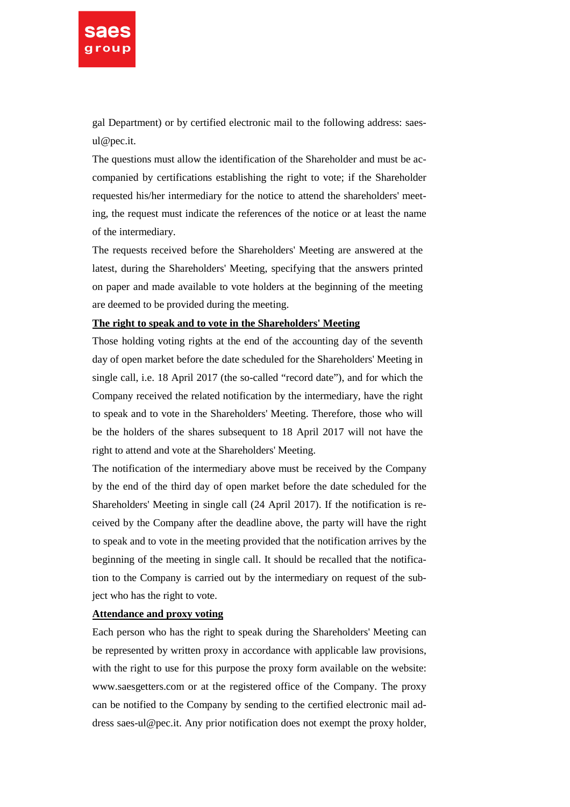

gal Department) or by certified electronic mail to the following address: saesul@pec.it.

The questions must allow the identification of the Shareholder and must be accompanied by certifications establishing the right to vote; if the Shareholder requested his/her intermediary for the notice to attend the shareholders' meeting, the request must indicate the references of the notice or at least the name of the intermediary.

The requests received before the Shareholders' Meeting are answered at the latest, during the Shareholders' Meeting, specifying that the answers printed on paper and made available to vote holders at the beginning of the meeting are deemed to be provided during the meeting.

# **The right to speak and to vote in the Shareholders' Meeting**

Those holding voting rights at the end of the accounting day of the seventh day of open market before the date scheduled for the Shareholders' Meeting in single call, i.e. 18 April 2017 (the so-called "record date"), and for which the Company received the related notification by the intermediary, have the right to speak and to vote in the Shareholders' Meeting. Therefore, those who will be the holders of the shares subsequent to 18 April 2017 will not have the right to attend and vote at the Shareholders' Meeting.

The notification of the intermediary above must be received by the Company by the end of the third day of open market before the date scheduled for the Shareholders' Meeting in single call (24 April 2017). If the notification is received by the Company after the deadline above, the party will have the right to speak and to vote in the meeting provided that the notification arrives by the beginning of the meeting in single call. It should be recalled that the notification to the Company is carried out by the intermediary on request of the subject who has the right to vote.

# **Attendance and proxy voting**

Each person who has the right to speak during the Shareholders' Meeting can be represented by written proxy in accordance with applicable law provisions, with the right to use for this purpose the proxy form available on the website: www.saesgetters.com or at the registered office of the Company. The proxy can be notified to the Company by sending to the certified electronic mail address saes-ul@pec.it. Any prior notification does not exempt the proxy holder,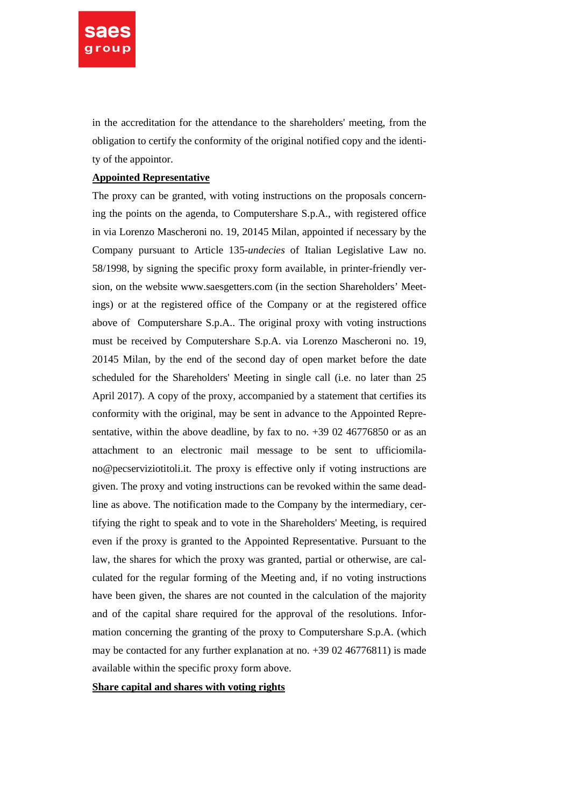

in the accreditation for the attendance to the shareholders' meeting, from the obligation to certify the conformity of the original notified copy and the identity of the appointor.

### **Appointed Representative**

The proxy can be granted, with voting instructions on the proposals concerning the points on the agenda, to Computershare S.p.A., with registered office in via Lorenzo Mascheroni no. 19, 20145 Milan, appointed if necessary by the Company pursuant to Article 135-*undecies* of Italian Legislative Law no. 58/1998, by signing the specific proxy form available, in printer-friendly version, on the website www.saesgetters.com (in the section Shareholders' Meetings) or at the registered office of the Company or at the registered office above of Computershare S.p.A.. The original proxy with voting instructions must be received by Computershare S.p.A. via Lorenzo Mascheroni no. 19, 20145 Milan, by the end of the second day of open market before the date scheduled for the Shareholders' Meeting in single call (i.e. no later than 25 April 2017). A copy of the proxy, accompanied by a statement that certifies its conformity with the original, may be sent in advance to the Appointed Representative, within the above deadline, by fax to no. +39 02 46776850 or as an attachment to an electronic mail message to be sent to ufficiomilano@pecserviziotitoli.it. The proxy is effective only if voting instructions are given. The proxy and voting instructions can be revoked within the same deadline as above. The notification made to the Company by the intermediary, certifying the right to speak and to vote in the Shareholders' Meeting, is required even if the proxy is granted to the Appointed Representative. Pursuant to the law, the shares for which the proxy was granted, partial or otherwise, are calculated for the regular forming of the Meeting and, if no voting instructions have been given, the shares are not counted in the calculation of the majority and of the capital share required for the approval of the resolutions. Information concerning the granting of the proxy to Computershare S.p.A. (which may be contacted for any further explanation at no. +39 02 46776811) is made available within the specific proxy form above.

### **Share capital and shares with voting rights**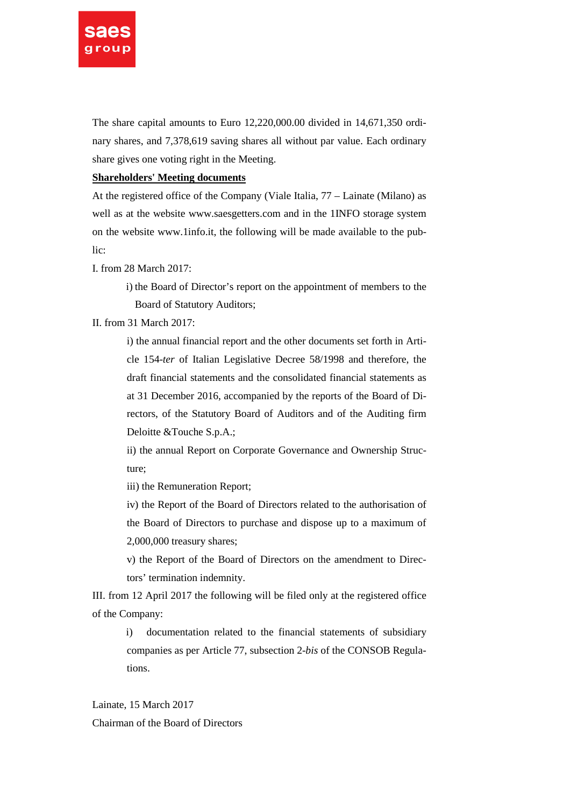

The share capital amounts to Euro 12,220,000.00 divided in 14,671,350 ordinary shares, and 7,378,619 saving shares all without par value. Each ordinary share gives one voting right in the Meeting.

## **Shareholders' Meeting documents**

At the registered office of the Company (Viale Italia, 77 – Lainate (Milano) as well as at the website www.saesgetters.com and in the 1INFO storage system on the website www.1info.it, the following will be made available to the public:

I. from 28 March 2017:

i) the Board of Director's report on the appointment of members to the Board of Statutory Auditors;

II. from 31 March 2017:

i) the annual financial report and the other documents set forth in Article 154-*ter* of Italian Legislative Decree 58/1998 and therefore, the draft financial statements and the consolidated financial statements as at 31 December 2016, accompanied by the reports of the Board of Directors, of the Statutory Board of Auditors and of the Auditing firm Deloitte &Touche S.p.A.;

ii) the annual Report on Corporate Governance and Ownership Structure;

iii) the Remuneration Report;

iv) the Report of the Board of Directors related to the authorisation of the Board of Directors to purchase and dispose up to a maximum of 2,000,000 treasury shares;

v) the Report of the Board of Directors on the amendment to Directors' termination indemnity.

III. from 12 April 2017 the following will be filed only at the registered office of the Company:

> i) documentation related to the financial statements of subsidiary companies as per Article 77, subsection 2-*bis* of the CONSOB Regulations.

Lainate, 15 March 2017 Chairman of the Board of Directors